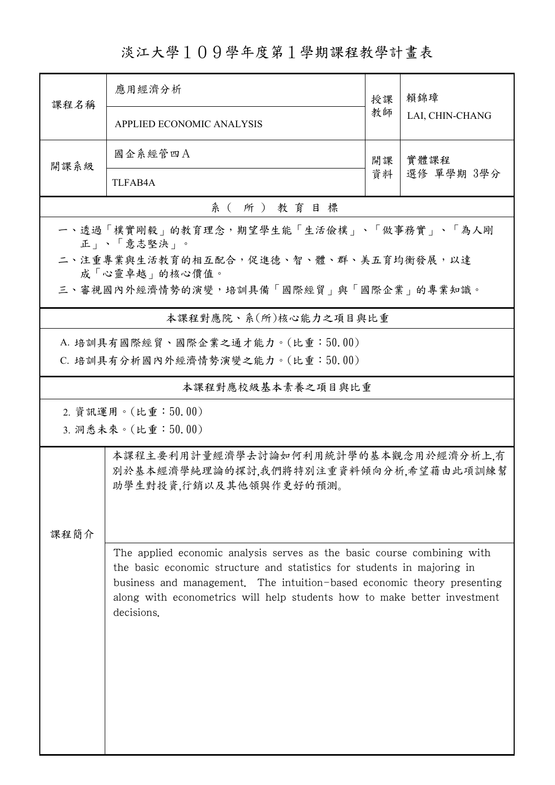淡江大學109學年度第1學期課程教學計畫表

|                                                                                                                                                                                                                                                                                                                         | 應用經濟分析                                                 | 授課 | 賴錦璋<br>LAI, CHIN-CHANG |  |  |  |  |  |  |
|-------------------------------------------------------------------------------------------------------------------------------------------------------------------------------------------------------------------------------------------------------------------------------------------------------------------------|--------------------------------------------------------|----|------------------------|--|--|--|--|--|--|
| 課程名稱                                                                                                                                                                                                                                                                                                                    | APPLIED ECONOMIC ANALYSIS                              | 教師 |                        |  |  |  |  |  |  |
| 開課系級                                                                                                                                                                                                                                                                                                                    | 國企系經管四A                                                | 開課 | 實體課程<br>選修 單學期 3學分     |  |  |  |  |  |  |
|                                                                                                                                                                                                                                                                                                                         | <b>TLFAB4A</b>                                         | 資料 |                        |  |  |  |  |  |  |
|                                                                                                                                                                                                                                                                                                                         | 系(所)教育目標                                               |    |                        |  |  |  |  |  |  |
| 一、透過「樸實剛毅」的教育理念,期望學生能「生活儉樸」、「做事務實」、「為人剛<br>正   、「意志堅決   。                                                                                                                                                                                                                                                               |                                                        |    |                        |  |  |  |  |  |  |
|                                                                                                                                                                                                                                                                                                                         | 二、注重專業與生活教育的相互配合,促進德、智、體、群、美五育均衡發展,以達<br>成「心靈卓越」的核心價值。 |    |                        |  |  |  |  |  |  |
| 三、審視國內外經濟情勢的演變,培訓具備「國際經貿」與「國際企業」的專業知識。                                                                                                                                                                                                                                                                                  |                                                        |    |                        |  |  |  |  |  |  |
|                                                                                                                                                                                                                                                                                                                         | 本課程對應院、系(所)核心能力之項目與比重                                  |    |                        |  |  |  |  |  |  |
| A. 培訓具有國際經貿、國際企業之通才能力。(比重:50.00)<br>C. 培訓具有分析國內外經濟情勢演變之能力。(比重:50.00)                                                                                                                                                                                                                                                    |                                                        |    |                        |  |  |  |  |  |  |
|                                                                                                                                                                                                                                                                                                                         | 本課程對應校級基本素養之項目與比重                                      |    |                        |  |  |  |  |  |  |
|                                                                                                                                                                                                                                                                                                                         | 2. 資訊運用。(比重:50.00)                                     |    |                        |  |  |  |  |  |  |
|                                                                                                                                                                                                                                                                                                                         | 3. 洞悉未來。(比重:50.00)                                     |    |                        |  |  |  |  |  |  |
| 本課程主要利用計量經濟學去討論如何利用統計學的基本觀念用於經濟分析上有<br>別於基本經濟學純理論的探討,我們將特別注重資料傾向分析,希望藉由此項訓練幫<br>助學生對投資,行銷以及其他領與作更好的預測。                                                                                                                                                                                                                  |                                                        |    |                        |  |  |  |  |  |  |
| 课程简介                                                                                                                                                                                                                                                                                                                    |                                                        |    |                        |  |  |  |  |  |  |
| The applied economic analysis serves as the basic course combining with<br>the basic economic structure and statistics for students in majoring in<br>business and management. The intuition-based economic theory presenting<br>along with econometrics will help students how to make better investment<br>decisions. |                                                        |    |                        |  |  |  |  |  |  |
|                                                                                                                                                                                                                                                                                                                         |                                                        |    |                        |  |  |  |  |  |  |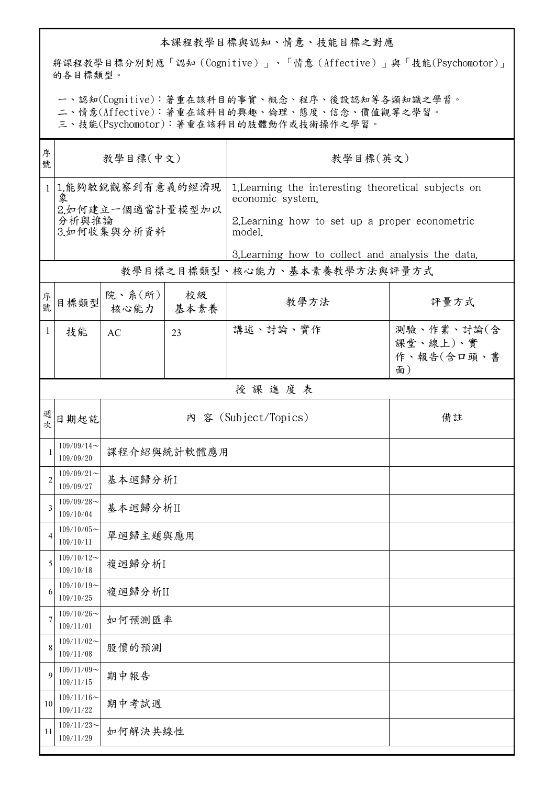## 本課程教學目標與認知、情意、技能目標之對應

將課程教學目標分別對應「認知(Cognitive)」、「情意(Affective)」與「技能(Psychomotor)」 的各目標類型。

一、認知(Cognitive):著重在該科目的事實、概念、程序、後設認知等各類知識之學習。

二、情意(Affective):著重在該科目的興趣、倫理、態度、信念、價值觀等之學習。

三、技能(Psychomotor):著重在該科目的肢體動作或技術操作之學習。

| 序<br>號         | 教學目標(中文)                                                            |                |            | 教學目標(英文)                                                                                                                            |                                            |  |
|----------------|---------------------------------------------------------------------|----------------|------------|-------------------------------------------------------------------------------------------------------------------------------------|--------------------------------------------|--|
|                | 1 1.能夠敏銳觀察到有意義的經濟現<br>象<br>2.如何建立一個適當計量模型加以<br>分析與推論<br>3.如何收集與分析資料 |                |            | 1. Learning the interesting theoretical subjects on<br>economic system.<br>2. Learning how to set up a proper econometric<br>model. |                                            |  |
|                |                                                                     |                |            | 3. Learning how to collect and analysis the data.                                                                                   |                                            |  |
|                |                                                                     |                |            | 教學目標之目標類型、核心能力、基本素養教學方法與評量方式                                                                                                        |                                            |  |
| 序號             | 目標類型                                                                | 院、系(所)<br>核心能力 | 校級<br>基本素養 | 教學方法                                                                                                                                | 評量方式                                       |  |
| $\mathbf{1}$   | 技能                                                                  | AC             | 23         | 講述、討論、實作                                                                                                                            | 測驗、作業、討論(含<br>課堂、線上)、實<br>作、報告(含口頭、書<br>面) |  |
|                |                                                                     |                |            | 授課進度表                                                                                                                               |                                            |  |
| 週次             | 日期起訖                                                                |                |            | 內 容 (Subject/Topics)                                                                                                                | 備註                                         |  |
| 1              | $109/09/14$ ~<br>109/09/20                                          | 課程介紹與統計軟體應用    |            |                                                                                                                                     |                                            |  |
| $\overline{2}$ | $109/09/21$ ~<br>109/09/27                                          | 基本迴歸分析I        |            |                                                                                                                                     |                                            |  |
| 3              | $109/09/28$ ~<br>109/10/04                                          | 基本迴歸分析II       |            |                                                                                                                                     |                                            |  |
|                | $109/10/05$ ~<br>109/10/11                                          | 單迴歸主題與應用       |            |                                                                                                                                     |                                            |  |
| 5              | $109/10/12$ ~<br>109/10/18                                          | 複迴歸分析I         |            |                                                                                                                                     |                                            |  |
| 6              | $109/10/19$ ~<br>109/10/25                                          | 複迴歸分析II        |            |                                                                                                                                     |                                            |  |
| 7              | $109/10/26$ ~<br>109/11/01                                          | 如何預測匯率         |            |                                                                                                                                     |                                            |  |
| 8              | $109/11/02$ ~<br>109/11/08                                          | 股價的預測          |            |                                                                                                                                     |                                            |  |
| 9              | $109/11/09$ ~<br>109/11/15                                          | 期中報告           |            |                                                                                                                                     |                                            |  |
| 10             | $109/11/16$ ~<br>109/11/22                                          | 期中考試週          |            |                                                                                                                                     |                                            |  |
| 11             | $109/11/23$ ~<br>109/11/29                                          | 如何解決共線性        |            |                                                                                                                                     |                                            |  |